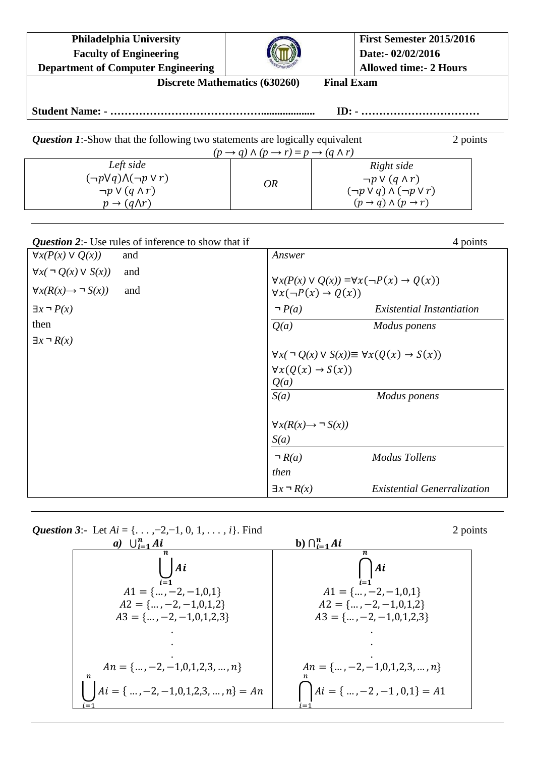| <b>Philadelphia University</b><br><b>Faculty of Engineering</b><br><b>Department of Computer Engineering</b>    |                                                                              | First Semester 2015/2016<br>Date:- 02/02/2016<br><b>Allowed time:- 2 Hours</b>                                           |  |  |  |  |
|-----------------------------------------------------------------------------------------------------------------|------------------------------------------------------------------------------|--------------------------------------------------------------------------------------------------------------------------|--|--|--|--|
| <b>Final Exam</b><br><b>Discrete Mathematics (630260)</b>                                                       |                                                                              |                                                                                                                          |  |  |  |  |
|                                                                                                                 |                                                                              |                                                                                                                          |  |  |  |  |
| <b>Question 1:</b> -Show that the following two statements are logically equivalent<br>2 points                 |                                                                              |                                                                                                                          |  |  |  |  |
| Left side                                                                                                       | $(p \rightarrow q) \land (p \rightarrow r) \equiv p \rightarrow (q \land r)$ | Right side                                                                                                               |  |  |  |  |
| $(\neg p \lor q) \land (\neg p \lor r)$                                                                         |                                                                              | $\neg p \vee (q \wedge r)$                                                                                               |  |  |  |  |
| $\neg p \vee (q \wedge r)$                                                                                      | <i>OR</i>                                                                    | $(\neg p \lor q) \land (\neg p \lor r)$                                                                                  |  |  |  |  |
| $p \rightarrow (q \Lambda r)$                                                                                   |                                                                              | $(p \rightarrow q) \wedge (p \rightarrow r)$                                                                             |  |  |  |  |
| Question 2:- Use rules of inference to show that if<br>4 points<br>$\forall x(P(x) \vee Q(x))$<br>Answer<br>and |                                                                              |                                                                                                                          |  |  |  |  |
| $\forall x (\neg Q(x) \vee S(x))$<br>and                                                                        |                                                                              |                                                                                                                          |  |  |  |  |
| $\forall x(R(x) \rightarrow \neg S(x))$<br>and                                                                  |                                                                              | $\forall x(P(x) \lor Q(x)) \equiv \forall x(\neg P(x) \rightarrow Q(x))$<br>$\forall x(\neg P(x) \rightarrow Q(x))$      |  |  |  |  |
| $\exists x \neg P(x)$                                                                                           |                                                                              | <b>Existential Instantiation</b>                                                                                         |  |  |  |  |
| then                                                                                                            | Q(a)                                                                         | Modus ponens                                                                                                             |  |  |  |  |
| $\exists x \neg R(x)$                                                                                           |                                                                              | $\forall x (\neg Q(x) \lor S(x)) \equiv \forall x (Q(x) \rightarrow S(x))$<br>$\forall x(Q(x) \rightarrow S(x))$<br>Q(a) |  |  |  |  |
|                                                                                                                 | S(a)                                                                         | Modus ponens                                                                                                             |  |  |  |  |
|                                                                                                                 | $\forall x(R(x) \rightarrow \neg S(x))$<br>S(a)                              |                                                                                                                          |  |  |  |  |
|                                                                                                                 | $\neg R(a)$                                                                  | <b>Modus Tollens</b>                                                                                                     |  |  |  |  |
|                                                                                                                 | then                                                                         |                                                                                                                          |  |  |  |  |
|                                                                                                                 | $\exists x \neg R(x)$                                                        | <b>Existential Generralization</b>                                                                                       |  |  |  |  |

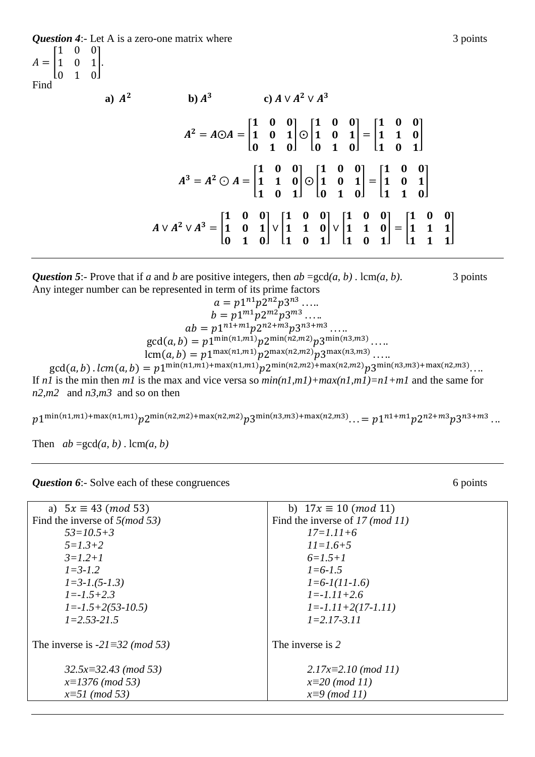*Question 4*:- Let A is a zero-one matrix where 3 points  $\mathbf{1}$  $\overline{0}$ ]*.*  $A=|1$  $\overline{0}$ I٥  $\mathbf{1}$  $\Omega$ Find a)  $A^2$ **b**)  $A^3$ c)  $A \vee A^2 \vee A^3$  $\mathbf{1}$  $\mathbf{1}$  $\mathbf{1}$  $A^2 = A \odot A =$  $| \odot |$  $\vert = \vert$ ]  $\mathbf{1}$  $\mathbf{1}$  $\mathbf{1}$  $\boldsymbol{0}$  $\boldsymbol{0}$  $\mathbf{1}$  $\mathbf{1}$  $\mathbf{1}$  $\mathbf{1}$  $A^3 = A^2 \bigcirc A =$  $\mathbf{1}$  $| \odot |$  $\mathbf{1}$  $\vert = \vert$  $\mathbf{1}$ ]  $\mathbf{1}$  $\boldsymbol{0}$  $\mathbf{1}$  $\mathbf{1}$  $\mathbf{1}$  $\mathbf{1}$  $\mathbf{1}$  $A \vee A^2 \vee A^3 =$  $|V|$  $|V|$  $\vert = \vert$  $\overline{\phantom{a}}$  $\mathbf{1}$  $\mathbf{1}$  $\mathbf{1}$  $\mathbf{1}$  $\boldsymbol{0}$  $\mathbf{1}$  $\mathbf{1}$  $\mathbf{1}$ 

*Question 5*:- Prove that if *a* and *b* are positive integers, then  $ab = \gcd(a, b)$ . lcm $(a, b)$ . 3 points Any integer number can be represented in term of its prime factors

 $a = p1^{n1}p2^{n2}p3^{n3}$ .  $b=p1^{m1}p2^{m2}p3^{m3}$ .  $ab = p1^{n1+rn1}p2^{n2+m3}p3^{n3+m3}$ .  $gcd(a, b) = p1^{\min(n1,m1)} p2^{\min(n2,m2)} p3^{\min(n3,m3)}$ . lcm(*a*, *b*) =  $p1^{\max(n1,m1)}p2^{\max(n2,m2)}p3^{\max(n3,m3)}$ .  $\gcd(a,b)$  .  $lcm(a,b)=p1^{\min(n1,m1)+\max(n1,m1)}p2^{\min(n2,m2)+\max(n2,m2)}p3^{\min(n3,m3)+\max(n2,m3)}.$ If *n1* is the min then *m1* is the max and vice versa so *min(n1,m1)+max(n1,m1)=n1+m1* and the same for *n2,m2* and *n3,m3* and so on then

 $p1^{\min(n1,m1)+\max(n1,m1)}p2^{\min(n2,m2)+\max(n2,m2)}p3^{\min(n3,m3)+\max(n2,m3)}\ldots=p1^{n1+m1}p2^{n2+m3}p3^{n3+m3}\ldots$ 

Then  $ab = \gcd(a, b) \cdot \text{lcm}(a, b)$ 

*Question 6*:- Solve each of these congruences 6 points 6 points 6 points

| a) $5x \equiv 43 \pmod{53}$              | b) $17x \equiv 10 \pmod{11}$    |  |  |
|------------------------------------------|---------------------------------|--|--|
| Find the inverse of $5 \pmod{53}$        | Find the inverse of 17 (mod 11) |  |  |
| $53=10.5+3$                              | $17 = 1.11 + 6$                 |  |  |
| $5 = 1.3 + 2$                            | $11 = 1.6 + 5$                  |  |  |
| $3=1.2+1$                                | $6=1.5+1$                       |  |  |
| $1 = 3 - 1.2$                            | $1 = 6 - 1.5$                   |  |  |
| $1 = 3 - 1.5 - 1.3$                      | $l = 6 - l(11 - 1.6)$           |  |  |
| $I = -1.5 + 2.3$                         | $l = -1.11 + 2.6$               |  |  |
| $1 = -1.5 + 2(53 - 10.5)$                | $1 = -1.11 + 2(17 - 1.11)$      |  |  |
| $1=2.53-21.5$                            | $1=2.17-3.11$                   |  |  |
|                                          |                                 |  |  |
| The inverse is $-2l \equiv 32 \pmod{53}$ | The inverse is 2                |  |  |
|                                          |                                 |  |  |
| $32.5x \equiv 32.43 \pmod{53}$           | $2.17x \equiv 2.10 \pmod{11}$   |  |  |
| $x=1376 \ (mod 53)$                      | $x=20 \pmod{11}$                |  |  |
| $x = 51 \pmod{53}$                       | $x \equiv 9 \pmod{11}$          |  |  |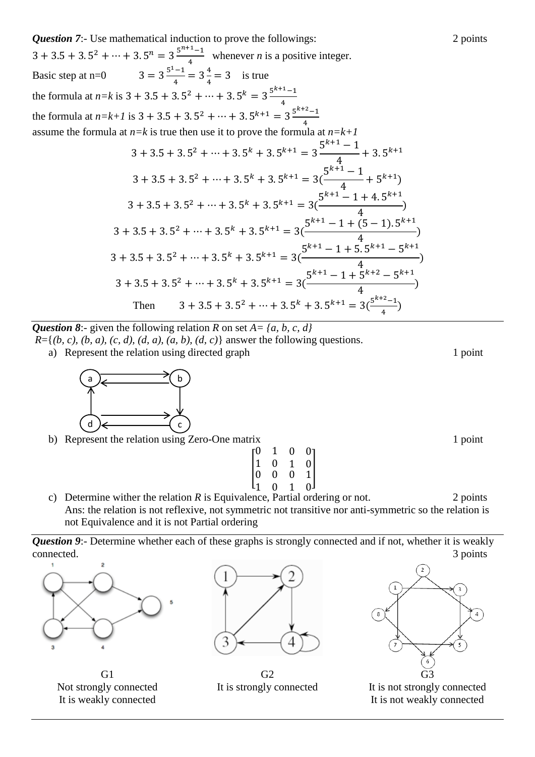*Question 7*:- Use mathematical induction to prove the followings: 2 points  $3 + 3.5 + 3.5^2 + \dots + 3.5^n = 3\frac{5^n}{3}$  $\frac{-1}{4}$  whenever *n* is a positive integer. Basic step at n=0  $3 = 3\frac{5^1}{2}$  $\frac{-1}{4}$  = 3 $\frac{4}{4}$  $\frac{4}{4}$  = 3 is true the formula at  $n=k$  is  $3 + 3.5 + 3.5^2 + \cdots + 3.5^k = 3 \frac{5^k}{2}$  $\overline{\mathbf{r}}$ the formula at  $n=k+1$  is  $3+3.5+3.5^2+\cdots+3.5^{k+1}=3\frac{5^k}{2}$ 4 assume the formula at *n=k* is true then use it to prove the formula at *n=k+1*  $3 + 3.5 + 3.5^2 + \dots + 3.5^k + 3.5^{k+1} = 3 \frac{5^k}{6}$  $\overline{4}$  $+3.5^{k}$  $3 + 3.5 + 3.5^2 + \dots + 3.5^k + 3.5^{k+1} = 3(\frac{5^k}{2})$  $\overline{\mathcal{A}}$  $+5^{k+1})$  $3 + 3.5 + 3.5^2 + \dots + 3.5^k + 3.5^{k+1} = 3(\frac{5^{k+1} - 1 + 4.5^k}{4})$  $\overline{\mathcal{L}}$  $\mathcal{)}$  $3 + 3.5 + 3.5^2 + \dots + 3.5^k + 3.5^{k+1} = 3(\frac{5^{k+1} - 1 + (5-1).5^k}{4})$  $\overline{\mathcal{L}}$  $\mathcal{)}$  $3 + 3.5 + 3.5^2 + \dots + 3.5^k + 3.5^{k+1} = 3(\frac{5^{k+1} - 1 + 5.5^{k+1} - 5^k}{4})$  $\overline{\mathcal{A}}$ )  $3 + 3.5 + 3.5^2 + \dots + 3.5^k + 3.5^{k+1} = 3(\frac{5^{k+1} - 1 + 5^{k+2} - 5^k}{4})$  $\overline{\mathcal{L}}$  $\mathcal{)}$ Then  $2 + ... + 35k + 35k+1 - 36k$  $\frac{-1}{4}$ 

*Question 8*:- given the following relation *R* on set *A= {a, b, c, d}*

 $R = \{(b, c), (b, a), (c, d), (d, a), (a, b), (d, c)\}\$ answer the following questions.

a) Represent the relation using directed graph 1 point 1 point



b) Represent the relation using Zero-One matrix 1 point

|                                               | 1 | 0              |                                                  |
|-----------------------------------------------|---|----------------|--------------------------------------------------|
| $\begin{bmatrix} 0 \ 1 \ 0 \ 1 \end{bmatrix}$ | 0 | 1              | $\begin{bmatrix} 0 \\ 0 \\ 1 \\ 0 \end{bmatrix}$ |
|                                               | 0 | $\overline{0}$ |                                                  |
|                                               | 0 | 1              |                                                  |

c) Determine wither the relation *R* is Equivalence, Partial ordering or not. 2 points Ans: the relation is not reflexive, not symmetric not transitive nor anti-symmetric so the relation is not Equivalence and it is not Partial ordering

*Question 9***:**- Determine whether each of these graphs is strongly connected and if not, whether it is weakly connected. 3 points



G<sub>1</sub> Not strongly connected It is weakly connected



 $G<sub>2</sub>$ It is strongly connected



It is not strongly connected It is not weakly connected